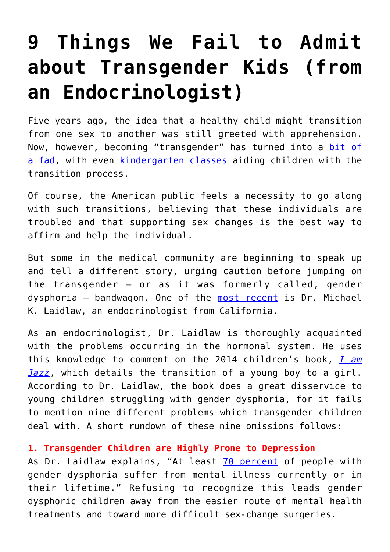# **[9 Things We Fail to Admit](https://intellectualtakeout.org/2018/04/9-things-we-fail-to-admit-about-transgender-kids-from-an-endocrinologist/) [about Transgender Kids \(from](https://intellectualtakeout.org/2018/04/9-things-we-fail-to-admit-about-transgender-kids-from-an-endocrinologist/) [an Endocrinologist\)](https://intellectualtakeout.org/2018/04/9-things-we-fail-to-admit-about-transgender-kids-from-an-endocrinologist/)**

Five years ago, the idea that a healthy child might transition from one sex to another was still greeted with apprehension. Now, however, becoming "transgender" has turned into a [bit of](https://www.intellectualtakeout.org/article/gender-dysphoria-fad) [a fad,](https://www.intellectualtakeout.org/article/gender-dysphoria-fad) with even [kindergarten classes](https://www1.cbn.com/cbnnews/us/2017/august/kindergarteners-scared-they-will-be-turned-into-boys-after-school-celebrates-transgender-transition) aiding children with the transition process.

Of course, the American public feels a necessity to go along with such transitions, believing that these individuals are troubled and that supporting sex changes is the best way to affirm and help the individual.

But some in the medical community are beginning to speak up and tell a different story, urging caution before jumping on the transgender – or as it was formerly called, gender dysphoria – bandwagon. One of the [most recent](http://www.thepublicdiscourse.com/2018/04/21220/) is Dr. Michael K. Laidlaw, an endocrinologist from California.

As an endocrinologist, Dr. Laidlaw is thoroughly acquainted with the problems occurring in the hormonal system. He uses this knowledge to comment on the 2014 children's book, *[I am](https://amzn.to/2GASp9c) [Jazz](https://amzn.to/2GASp9c)*, which details the transition of a young boy to a girl. According to Dr. Laidlaw, the book does a great disservice to young children struggling with gender dysphoria, for it fails to mention nine different problems which transgender children deal with. A short rundown of these nine omissions follows:

## **1. Transgender Children are Highly Prone to Depression**

As Dr. Laidlaw explains, "At least [70 percent](http://bjp.rcpsych.org/content/204/2/151) of people with gender dysphoria suffer from mental illness currently or in their lifetime." Refusing to recognize this leads gender dysphoric children away from the easier route of mental health treatments and toward more difficult sex-change surgeries.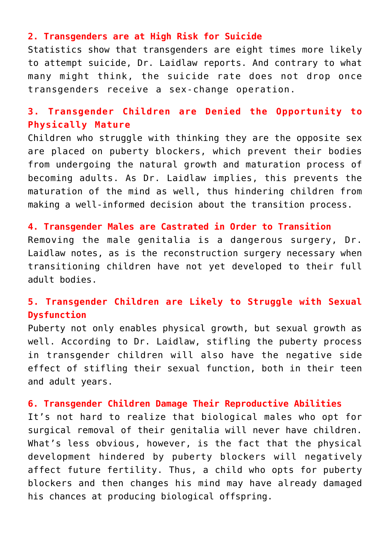#### **2. Transgenders are at High Risk for Suicide**

Statistics show that transgenders are eight times more likely to attempt suicide, Dr. Laidlaw reports. And contrary to what many might think, the suicide rate does not drop once transgenders receive a sex-change operation.

# **3. Transgender Children are Denied the Opportunity to Physically Mature**

Children who struggle with thinking they are the opposite sex are placed on puberty blockers, which prevent their bodies from undergoing the natural growth and maturation process of becoming adults. As Dr. Laidlaw implies, this prevents the maturation of the mind as well, thus hindering children from making a well-informed decision about the transition process.

### **4. Transgender Males are Castrated in Order to Transition**

Removing the male genitalia is a dangerous surgery, Dr. Laidlaw notes, as is the reconstruction surgery necessary when transitioning children have not yet developed to their full adult bodies.

# **5. Transgender Children are Likely to Struggle with Sexual Dysfunction**

Puberty not only enables physical growth, but sexual growth as well. According to Dr. Laidlaw, stifling the puberty process in transgender children will also have the negative side effect of stifling their sexual function, both in their teen and adult years.

#### **6. Transgender Children Damage Their Reproductive Abilities**

It's not hard to realize that biological males who opt for surgical removal of their genitalia will never have children. What's less obvious, however, is the fact that the physical development hindered by puberty blockers will negatively affect future fertility. Thus, a child who opts for puberty blockers and then changes his mind may have already damaged his chances at producing biological offspring.